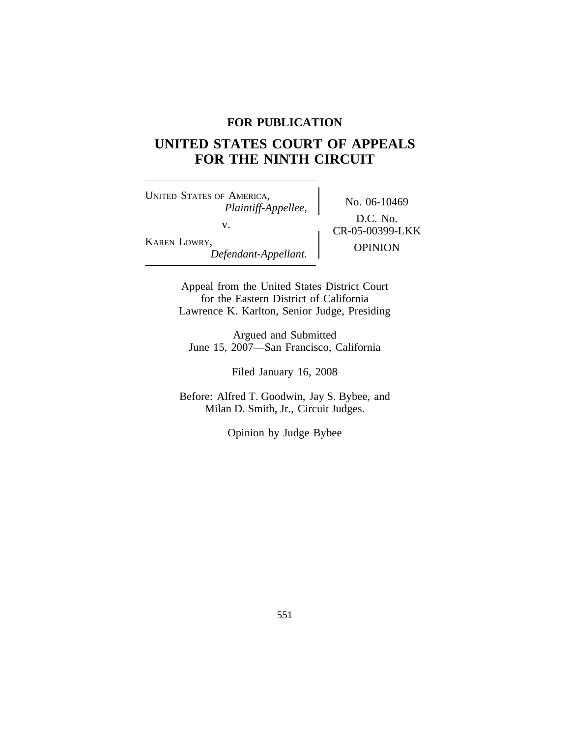## **FOR PUBLICATION**

# **UNITED STATES COURT OF APPEALS FOR THE NINTH CIRCUIT**

<sup>U</sup>NITED STATES OF AMERICA, No. 06-10469 *Plaintiff-Appellee,* v. **CR-05-00399-LKK** KAREN LOWRY, OPINION *Defendant-Appellant.*

D.C. No.

Appeal from the United States District Court for the Eastern District of California Lawrence K. Karlton, Senior Judge, Presiding

Argued and Submitted June 15, 2007—San Francisco, California

Filed January 16, 2008

Before: Alfred T. Goodwin, Jay S. Bybee, and Milan D. Smith, Jr., Circuit Judges.

Opinion by Judge Bybee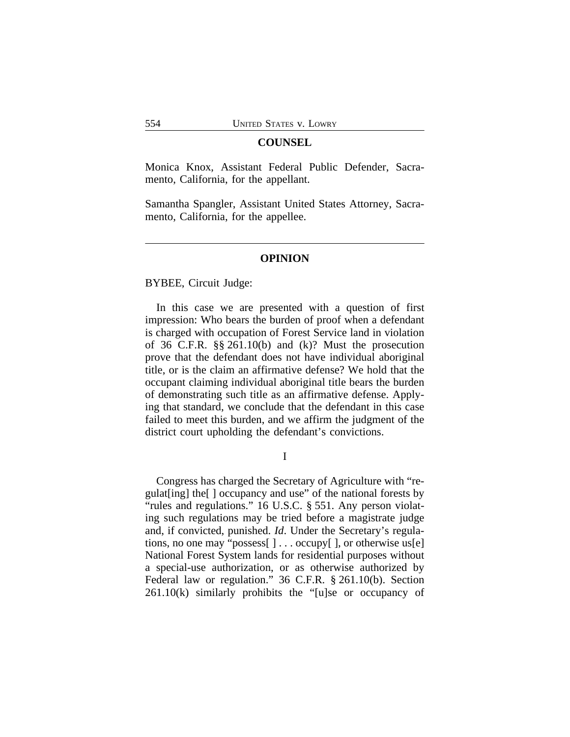#### **COUNSEL**

Monica Knox, Assistant Federal Public Defender, Sacramento, California, for the appellant.

Samantha Spangler, Assistant United States Attorney, Sacramento, California, for the appellee.

#### **OPINION**

BYBEE, Circuit Judge:

In this case we are presented with a question of first impression: Who bears the burden of proof when a defendant is charged with occupation of Forest Service land in violation of 36 C.F.R. §§ 261.10(b) and (k)? Must the prosecution prove that the defendant does not have individual aboriginal title, or is the claim an affirmative defense? We hold that the occupant claiming individual aboriginal title bears the burden of demonstrating such title as an affirmative defense. Applying that standard, we conclude that the defendant in this case failed to meet this burden, and we affirm the judgment of the district court upholding the defendant's convictions.

I

Congress has charged the Secretary of Agriculture with "regulat[ing] the[ ] occupancy and use" of the national forests by "rules and regulations." 16 U.S.C. § 551. Any person violating such regulations may be tried before a magistrate judge and, if convicted, punished. *Id*. Under the Secretary's regulations, no one may "possess[ ] . . . occupy[ ], or otherwise us[e] National Forest System lands for residential purposes without a special-use authorization, or as otherwise authorized by Federal law or regulation." 36 C.F.R. § 261.10(b). Section 261.10(k) similarly prohibits the "[u]se or occupancy of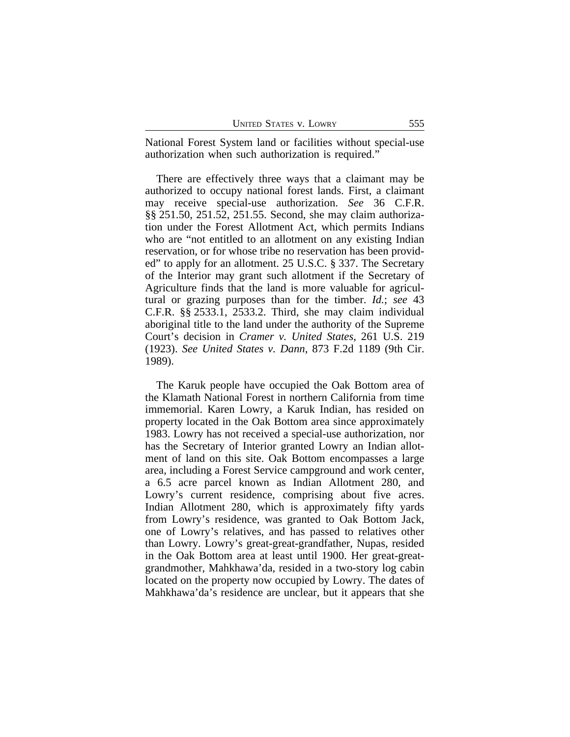National Forest System land or facilities without special-use authorization when such authorization is required."

There are effectively three ways that a claimant may be authorized to occupy national forest lands. First, a claimant may receive special-use authorization. *See* 36 C.F.R. §§ 251.50, 251.52, 251.55. Second, she may claim authorization under the Forest Allotment Act, which permits Indians who are "not entitled to an allotment on any existing Indian reservation, or for whose tribe no reservation has been provided" to apply for an allotment. 25 U.S.C. § 337. The Secretary of the Interior may grant such allotment if the Secretary of Agriculture finds that the land is more valuable for agricultural or grazing purposes than for the timber. *Id.*; *see* 43 C.F.R. §§ 2533.1, 2533.2. Third, she may claim individual aboriginal title to the land under the authority of the Supreme Court's decision in *Cramer v. United States*, 261 U.S. 219 (1923). *See United States v. Dann*, 873 F.2d 1189 (9th Cir. 1989).

The Karuk people have occupied the Oak Bottom area of the Klamath National Forest in northern California from time immemorial. Karen Lowry, a Karuk Indian, has resided on property located in the Oak Bottom area since approximately 1983. Lowry has not received a special-use authorization, nor has the Secretary of Interior granted Lowry an Indian allotment of land on this site. Oak Bottom encompasses a large area, including a Forest Service campground and work center, a 6.5 acre parcel known as Indian Allotment 280, and Lowry's current residence, comprising about five acres. Indian Allotment 280, which is approximately fifty yards from Lowry's residence, was granted to Oak Bottom Jack, one of Lowry's relatives, and has passed to relatives other than Lowry. Lowry's great-great-grandfather, Nupas, resided in the Oak Bottom area at least until 1900. Her great-greatgrandmother, Mahkhawa'da, resided in a two-story log cabin located on the property now occupied by Lowry. The dates of Mahkhawa'da's residence are unclear, but it appears that she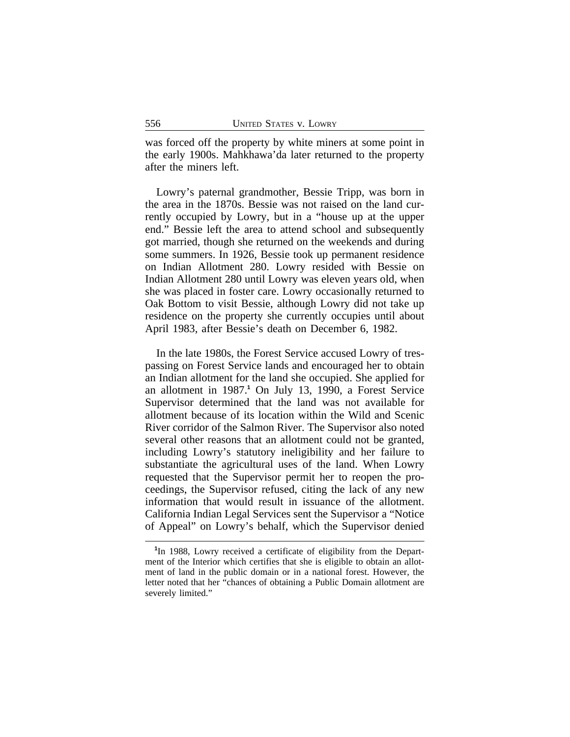was forced off the property by white miners at some point in the early 1900s. Mahkhawa'da later returned to the property after the miners left.

Lowry's paternal grandmother, Bessie Tripp, was born in the area in the 1870s. Bessie was not raised on the land currently occupied by Lowry, but in a "house up at the upper end." Bessie left the area to attend school and subsequently got married, though she returned on the weekends and during some summers. In 1926, Bessie took up permanent residence on Indian Allotment 280. Lowry resided with Bessie on Indian Allotment 280 until Lowry was eleven years old, when she was placed in foster care. Lowry occasionally returned to Oak Bottom to visit Bessie, although Lowry did not take up residence on the property she currently occupies until about April 1983, after Bessie's death on December 6, 1982.

In the late 1980s, the Forest Service accused Lowry of trespassing on Forest Service lands and encouraged her to obtain an Indian allotment for the land she occupied. She applied for an allotment in 1987.**<sup>1</sup>** On July 13, 1990, a Forest Service Supervisor determined that the land was not available for allotment because of its location within the Wild and Scenic River corridor of the Salmon River. The Supervisor also noted several other reasons that an allotment could not be granted, including Lowry's statutory ineligibility and her failure to substantiate the agricultural uses of the land. When Lowry requested that the Supervisor permit her to reopen the proceedings, the Supervisor refused, citing the lack of any new information that would result in issuance of the allotment. California Indian Legal Services sent the Supervisor a "Notice of Appeal" on Lowry's behalf, which the Supervisor denied

<sup>&</sup>lt;sup>1</sup>In 1988, Lowry received a certificate of eligibility from the Department of the Interior which certifies that she is eligible to obtain an allotment of land in the public domain or in a national forest. However, the letter noted that her "chances of obtaining a Public Domain allotment are severely limited."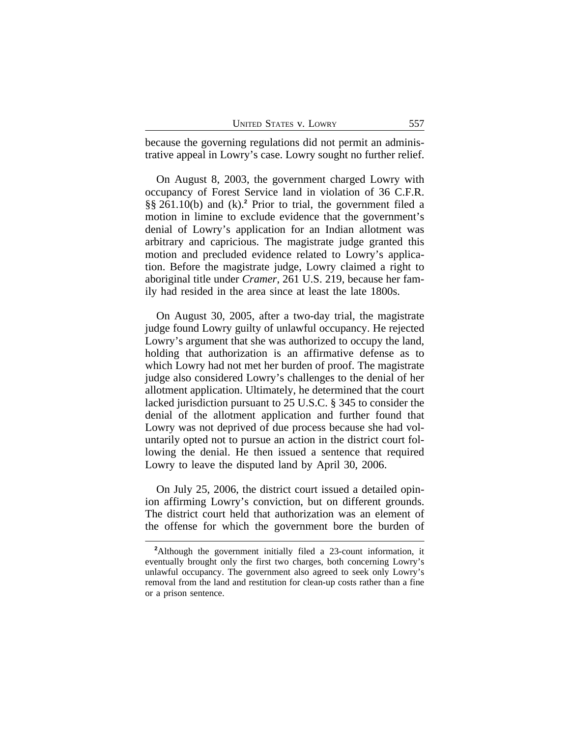| <b>UNITED STATES V. LOWRY</b><br>557 |
|--------------------------------------|
|--------------------------------------|

because the governing regulations did not permit an administrative appeal in Lowry's case. Lowry sought no further relief.

On August 8, 2003, the government charged Lowry with occupancy of Forest Service land in violation of 36 C.F.R. §§ 261.10(b) and (k).**<sup>2</sup>** Prior to trial, the government filed a motion in limine to exclude evidence that the government's denial of Lowry's application for an Indian allotment was arbitrary and capricious. The magistrate judge granted this motion and precluded evidence related to Lowry's application. Before the magistrate judge, Lowry claimed a right to aboriginal title under *Cramer*, 261 U.S. 219, because her family had resided in the area since at least the late 1800s.

On August 30, 2005, after a two-day trial, the magistrate judge found Lowry guilty of unlawful occupancy. He rejected Lowry's argument that she was authorized to occupy the land, holding that authorization is an affirmative defense as to which Lowry had not met her burden of proof. The magistrate judge also considered Lowry's challenges to the denial of her allotment application. Ultimately, he determined that the court lacked jurisdiction pursuant to 25 U.S.C. § 345 to consider the denial of the allotment application and further found that Lowry was not deprived of due process because she had voluntarily opted not to pursue an action in the district court following the denial. He then issued a sentence that required Lowry to leave the disputed land by April 30, 2006.

On July 25, 2006, the district court issued a detailed opinion affirming Lowry's conviction, but on different grounds. The district court held that authorization was an element of the offense for which the government bore the burden of

**<sup>2</sup>**Although the government initially filed a 23-count information, it eventually brought only the first two charges, both concerning Lowry's unlawful occupancy. The government also agreed to seek only Lowry's removal from the land and restitution for clean-up costs rather than a fine or a prison sentence.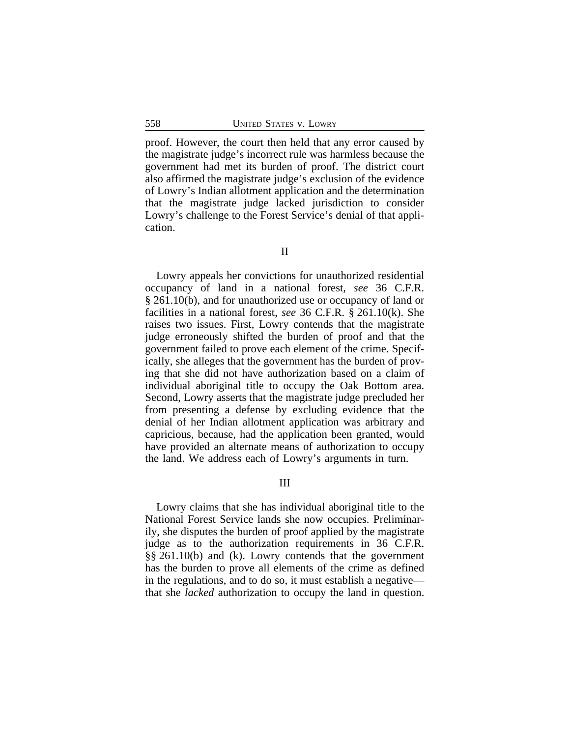proof. However, the court then held that any error caused by the magistrate judge's incorrect rule was harmless because the government had met its burden of proof. The district court also affirmed the magistrate judge's exclusion of the evidence of Lowry's Indian allotment application and the determination that the magistrate judge lacked jurisdiction to consider Lowry's challenge to the Forest Service's denial of that application.

Lowry appeals her convictions for unauthorized residential occupancy of land in a national forest, *see* 36 C.F.R. § 261.10(b), and for unauthorized use or occupancy of land or facilities in a national forest, *see* 36 C.F.R. § 261.10(k). She raises two issues. First, Lowry contends that the magistrate judge erroneously shifted the burden of proof and that the government failed to prove each element of the crime. Specifically, she alleges that the government has the burden of proving that she did not have authorization based on a claim of individual aboriginal title to occupy the Oak Bottom area. Second, Lowry asserts that the magistrate judge precluded her from presenting a defense by excluding evidence that the denial of her Indian allotment application was arbitrary and capricious, because, had the application been granted, would have provided an alternate means of authorization to occupy the land. We address each of Lowry's arguments in turn.

III

Lowry claims that she has individual aboriginal title to the National Forest Service lands she now occupies. Preliminarily, she disputes the burden of proof applied by the magistrate judge as to the authorization requirements in 36 C.F.R. §§ 261.10(b) and (k). Lowry contends that the government has the burden to prove all elements of the crime as defined in the regulations, and to do so, it must establish a negative that she *lacked* authorization to occupy the land in question.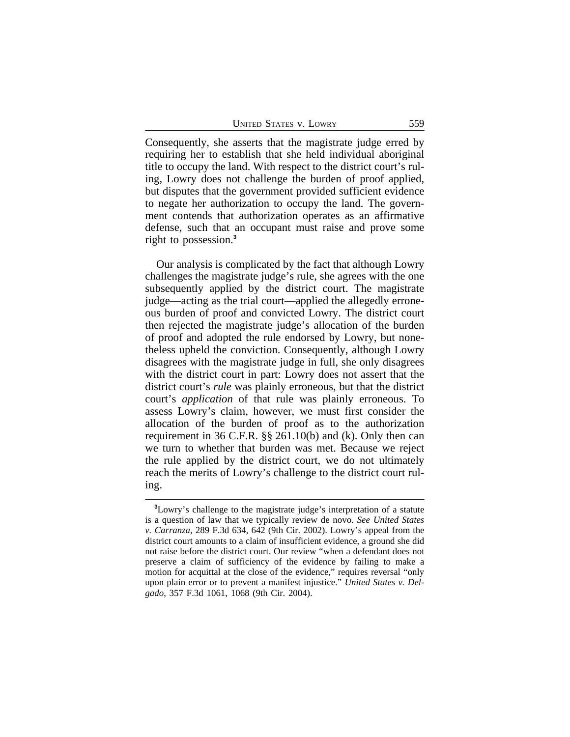UNITED STATES V. LOWRY 559

Consequently, she asserts that the magistrate judge erred by requiring her to establish that she held individual aboriginal title to occupy the land. With respect to the district court's ruling, Lowry does not challenge the burden of proof applied, but disputes that the government provided sufficient evidence to negate her authorization to occupy the land. The government contends that authorization operates as an affirmative defense, such that an occupant must raise and prove some right to possession.**<sup>3</sup>**

Our analysis is complicated by the fact that although Lowry challenges the magistrate judge's rule, she agrees with the one subsequently applied by the district court. The magistrate judge—acting as the trial court—applied the allegedly erroneous burden of proof and convicted Lowry. The district court then rejected the magistrate judge's allocation of the burden of proof and adopted the rule endorsed by Lowry, but nonetheless upheld the conviction. Consequently, although Lowry disagrees with the magistrate judge in full, she only disagrees with the district court in part: Lowry does not assert that the district court's *rule* was plainly erroneous, but that the district court's *application* of that rule was plainly erroneous. To assess Lowry's claim, however, we must first consider the allocation of the burden of proof as to the authorization requirement in 36 C.F.R. §§ 261.10(b) and (k). Only then can we turn to whether that burden was met. Because we reject the rule applied by the district court, we do not ultimately reach the merits of Lowry's challenge to the district court ruling.

**<sup>3</sup>**Lowry's challenge to the magistrate judge's interpretation of a statute is a question of law that we typically review de novo. *See United States v. Carranza*, 289 F.3d 634, 642 (9th Cir. 2002). Lowry's appeal from the district court amounts to a claim of insufficient evidence, a ground she did not raise before the district court. Our review "when a defendant does not preserve a claim of sufficiency of the evidence by failing to make a motion for acquittal at the close of the evidence," requires reversal "only upon plain error or to prevent a manifest injustice." *United States v. Delgado*, 357 F.3d 1061, 1068 (9th Cir. 2004).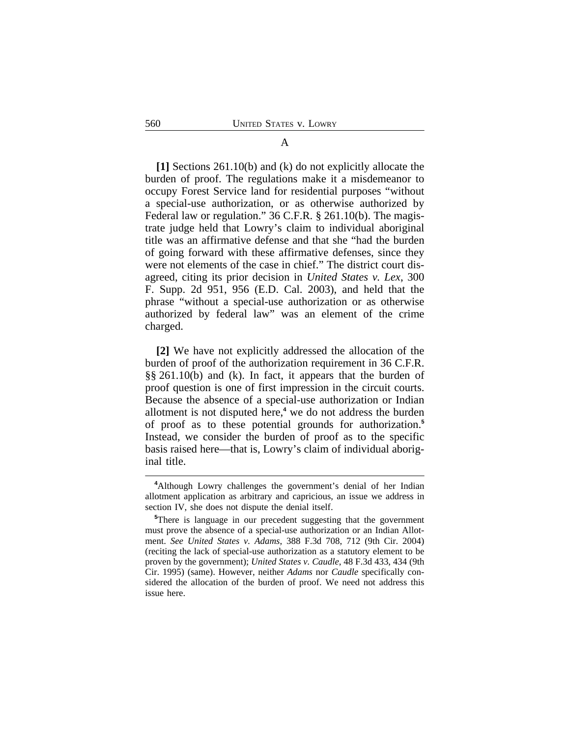#### A

**[1]** Sections 261.10(b) and (k) do not explicitly allocate the burden of proof. The regulations make it a misdemeanor to occupy Forest Service land for residential purposes "without a special-use authorization, or as otherwise authorized by Federal law or regulation." 36 C.F.R. § 261.10(b). The magistrate judge held that Lowry's claim to individual aboriginal title was an affirmative defense and that she "had the burden of going forward with these affirmative defenses, since they were not elements of the case in chief." The district court disagreed, citing its prior decision in *United States v. Lex*, 300 F. Supp. 2d 951, 956 (E.D. Cal. 2003), and held that the phrase "without a special-use authorization or as otherwise authorized by federal law" was an element of the crime charged.

**[2]** We have not explicitly addressed the allocation of the burden of proof of the authorization requirement in 36 C.F.R. §§ 261.10(b) and (k). In fact, it appears that the burden of proof question is one of first impression in the circuit courts. Because the absence of a special-use authorization or Indian allotment is not disputed here,**<sup>4</sup>** we do not address the burden of proof as to these potential grounds for authorization.**<sup>5</sup>** Instead, we consider the burden of proof as to the specific basis raised here—that is, Lowry's claim of individual aboriginal title.

**<sup>4</sup>**Although Lowry challenges the government's denial of her Indian allotment application as arbitrary and capricious, an issue we address in section IV, she does not dispute the denial itself.

**<sup>5</sup>**There is language in our precedent suggesting that the government must prove the absence of a special-use authorization or an Indian Allotment. *See United States v. Adams*, 388 F.3d 708, 712 (9th Cir. 2004) (reciting the lack of special-use authorization as a statutory element to be proven by the government); *United States v. Caudle*, 48 F.3d 433, 434 (9th Cir. 1995) (same). However, neither *Adams* nor *Caudle* specifically considered the allocation of the burden of proof. We need not address this issue here.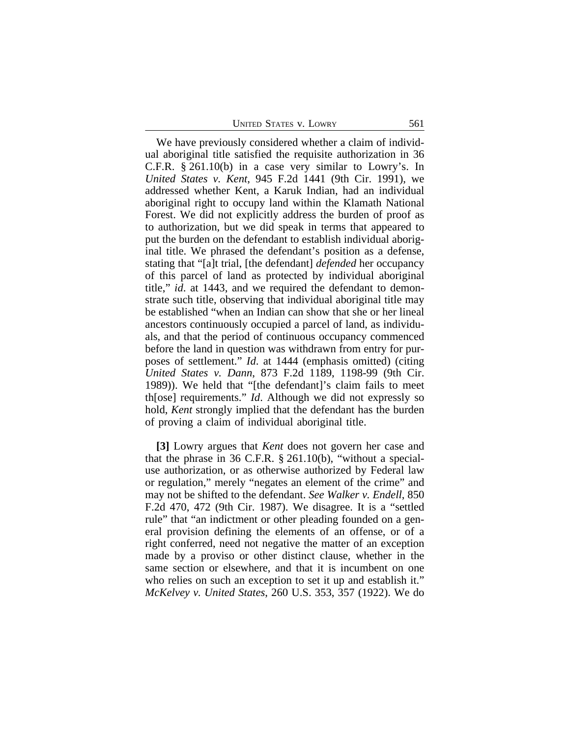| <b>UNITED STATES V. LOWRY</b> |
|-------------------------------|
|-------------------------------|

We have previously considered whether a claim of individual aboriginal title satisfied the requisite authorization in 36 C.F.R. § 261.10(b) in a case very similar to Lowry's. In *United States v. Kent*, 945 F.2d 1441 (9th Cir. 1991), we addressed whether Kent, a Karuk Indian, had an individual aboriginal right to occupy land within the Klamath National Forest. We did not explicitly address the burden of proof as to authorization, but we did speak in terms that appeared to put the burden on the defendant to establish individual aboriginal title. We phrased the defendant's position as a defense, stating that "[a]t trial, [the defendant] *defended* her occupancy of this parcel of land as protected by individual aboriginal title," *id*. at 1443, and we required the defendant to demonstrate such title, observing that individual aboriginal title may be established "when an Indian can show that she or her lineal ancestors continuously occupied a parcel of land, as individuals, and that the period of continuous occupancy commenced before the land in question was withdrawn from entry for purposes of settlement." *Id*. at 1444 (emphasis omitted) (citing *United States v. Dann*, 873 F.2d 1189, 1198-99 (9th Cir. 1989)). We held that "[the defendant]'s claim fails to meet th[ose] requirements." *Id*. Although we did not expressly so hold, *Kent* strongly implied that the defendant has the burden of proving a claim of individual aboriginal title.

**[3]** Lowry argues that *Kent* does not govern her case and that the phrase in 36 C.F.R. § 261.10(b), "without a specialuse authorization, or as otherwise authorized by Federal law or regulation," merely "negates an element of the crime" and may not be shifted to the defendant. *See Walker v. Endell*, 850 F.2d 470, 472 (9th Cir. 1987). We disagree. It is a "settled rule" that "an indictment or other pleading founded on a general provision defining the elements of an offense, or of a right conferred, need not negative the matter of an exception made by a proviso or other distinct clause, whether in the same section or elsewhere, and that it is incumbent on one who relies on such an exception to set it up and establish it." *McKelvey v. United States*, 260 U.S. 353, 357 (1922). We do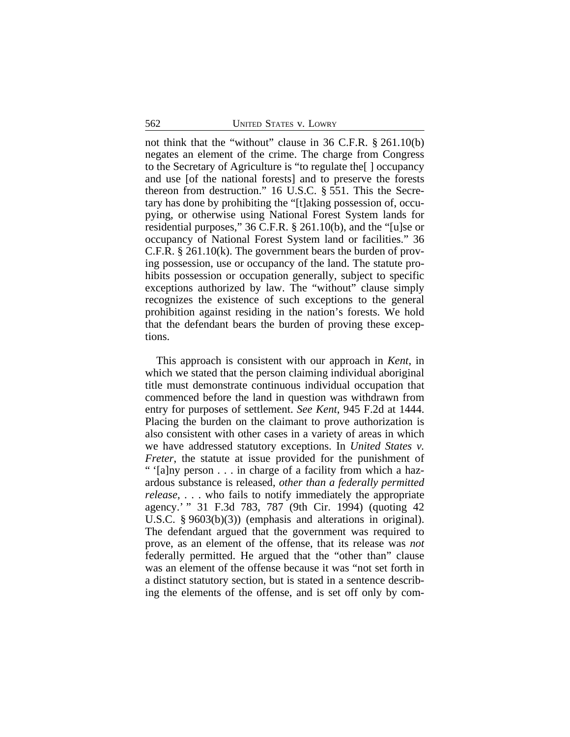not think that the "without" clause in 36 C.F.R. § 261.10(b) negates an element of the crime. The charge from Congress to the Secretary of Agriculture is "to regulate the[ ] occupancy and use [of the national forests] and to preserve the forests thereon from destruction." 16 U.S.C. § 551. This the Secretary has done by prohibiting the "[t]aking possession of, occupying, or otherwise using National Forest System lands for residential purposes," 36 C.F.R. § 261.10(b), and the "[u]se or occupancy of National Forest System land or facilities." 36 C.F.R. § 261.10(k). The government bears the burden of proving possession, use or occupancy of the land. The statute prohibits possession or occupation generally, subject to specific exceptions authorized by law. The "without" clause simply recognizes the existence of such exceptions to the general prohibition against residing in the nation's forests. We hold that the defendant bears the burden of proving these exceptions.

This approach is consistent with our approach in *Kent*, in which we stated that the person claiming individual aboriginal title must demonstrate continuous individual occupation that commenced before the land in question was withdrawn from entry for purposes of settlement. *See Kent*, 945 F.2d at 1444. Placing the burden on the claimant to prove authorization is also consistent with other cases in a variety of areas in which we have addressed statutory exceptions. In *United States v. Freter*, the statute at issue provided for the punishment of " '[a]ny person . . . in charge of a facility from which a hazardous substance is released, *other than a federally permitted release*, . . . who fails to notify immediately the appropriate agency.' " 31 F.3d 783, 787 (9th Cir. 1994) (quoting 42 U.S.C. § 9603(b)(3)) (emphasis and alterations in original). The defendant argued that the government was required to prove, as an element of the offense, that its release was *not* federally permitted. He argued that the "other than" clause was an element of the offense because it was "not set forth in a distinct statutory section, but is stated in a sentence describing the elements of the offense, and is set off only by com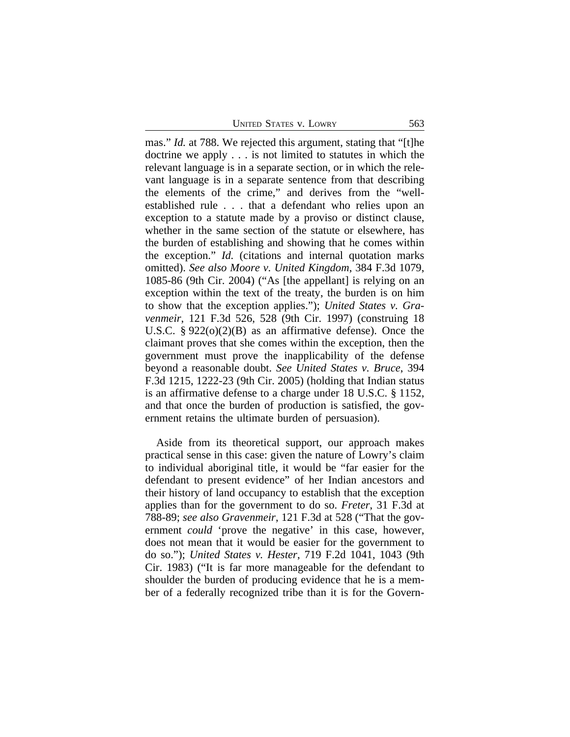mas." *Id.* at 788. We rejected this argument, stating that "[t]he doctrine we apply . . . is not limited to statutes in which the relevant language is in a separate section, or in which the relevant language is in a separate sentence from that describing the elements of the crime," and derives from the "wellestablished rule . . . that a defendant who relies upon an exception to a statute made by a proviso or distinct clause, whether in the same section of the statute or elsewhere, has the burden of establishing and showing that he comes within the exception." *Id.* (citations and internal quotation marks omitted). *See also Moore v. United Kingdom*, 384 F.3d 1079, 1085-86 (9th Cir. 2004) ("As [the appellant] is relying on an exception within the text of the treaty, the burden is on him to show that the exception applies."); *United States v. Gravenmeir*, 121 F.3d 526, 528 (9th Cir. 1997) (construing 18 U.S.C. § 922(o)(2)(B) as an affirmative defense). Once the claimant proves that she comes within the exception, then the government must prove the inapplicability of the defense beyond a reasonable doubt. *See United States v. Bruce*, 394 F.3d 1215, 1222-23 (9th Cir. 2005) (holding that Indian status is an affirmative defense to a charge under 18 U.S.C. § 1152, and that once the burden of production is satisfied, the government retains the ultimate burden of persuasion).

Aside from its theoretical support, our approach makes practical sense in this case: given the nature of Lowry's claim to individual aboriginal title, it would be "far easier for the defendant to present evidence" of her Indian ancestors and their history of land occupancy to establish that the exception applies than for the government to do so. *Freter*, 31 F.3d at 788-89; *see also Gravenmeir*, 121 F.3d at 528 ("That the government *could* 'prove the negative' in this case, however, does not mean that it would be easier for the government to do so."); *United States v. Hester*, 719 F.2d 1041, 1043 (9th Cir. 1983) ("It is far more manageable for the defendant to shoulder the burden of producing evidence that he is a member of a federally recognized tribe than it is for the Govern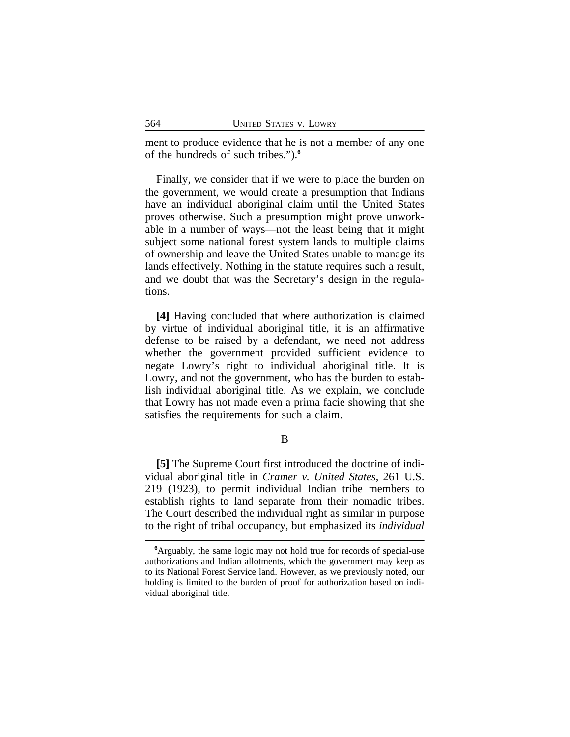ment to produce evidence that he is not a member of any one of the hundreds of such tribes.").**<sup>6</sup>**

Finally, we consider that if we were to place the burden on the government, we would create a presumption that Indians have an individual aboriginal claim until the United States proves otherwise. Such a presumption might prove unworkable in a number of ways—not the least being that it might subject some national forest system lands to multiple claims of ownership and leave the United States unable to manage its lands effectively. Nothing in the statute requires such a result, and we doubt that was the Secretary's design in the regulations.

**[4]** Having concluded that where authorization is claimed by virtue of individual aboriginal title, it is an affirmative defense to be raised by a defendant, we need not address whether the government provided sufficient evidence to negate Lowry's right to individual aboriginal title. It is Lowry, and not the government, who has the burden to establish individual aboriginal title. As we explain, we conclude that Lowry has not made even a prima facie showing that she satisfies the requirements for such a claim.

B

**[5]** The Supreme Court first introduced the doctrine of individual aboriginal title in *Cramer v. United States*, 261 U.S. 219 (1923), to permit individual Indian tribe members to establish rights to land separate from their nomadic tribes. The Court described the individual right as similar in purpose to the right of tribal occupancy, but emphasized its *individual*

**<sup>6</sup>**Arguably, the same logic may not hold true for records of special-use authorizations and Indian allotments, which the government may keep as to its National Forest Service land. However, as we previously noted, our holding is limited to the burden of proof for authorization based on individual aboriginal title.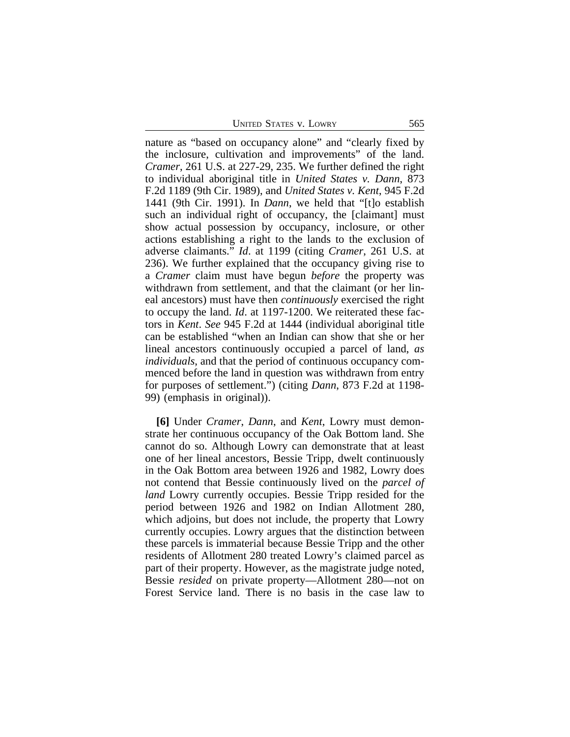UNITED STATES V. LOWRY 565

nature as "based on occupancy alone" and "clearly fixed by the inclosure, cultivation and improvements" of the land. *Cramer*, 261 U.S. at 227-29, 235. We further defined the right to individual aboriginal title in *United States v. Dann*, 873 F.2d 1189 (9th Cir. 1989), and *United States v. Kent*, 945 F.2d 1441 (9th Cir. 1991). In *Dann*, we held that "[t]o establish such an individual right of occupancy, the [claimant] must show actual possession by occupancy, inclosure, or other actions establishing a right to the lands to the exclusion of adverse claimants." *Id*. at 1199 (citing *Cramer*, 261 U.S. at 236). We further explained that the occupancy giving rise to a *Cramer* claim must have begun *before* the property was withdrawn from settlement, and that the claimant (or her lineal ancestors) must have then *continuously* exercised the right to occupy the land. *Id*. at 1197-1200. We reiterated these factors in *Kent*. *See* 945 F.2d at 1444 (individual aboriginal title can be established "when an Indian can show that she or her lineal ancestors continuously occupied a parcel of land, *as individuals*, and that the period of continuous occupancy commenced before the land in question was withdrawn from entry for purposes of settlement.") (citing *Dann*, 873 F.2d at 1198- 99) (emphasis in original)).

**[6]** Under *Cramer*, *Dann*, and *Kent*, Lowry must demonstrate her continuous occupancy of the Oak Bottom land. She cannot do so. Although Lowry can demonstrate that at least one of her lineal ancestors, Bessie Tripp, dwelt continuously in the Oak Bottom area between 1926 and 1982, Lowry does not contend that Bessie continuously lived on the *parcel of land* Lowry currently occupies. Bessie Tripp resided for the period between 1926 and 1982 on Indian Allotment 280, which adjoins, but does not include, the property that Lowry currently occupies. Lowry argues that the distinction between these parcels is immaterial because Bessie Tripp and the other residents of Allotment 280 treated Lowry's claimed parcel as part of their property. However, as the magistrate judge noted, Bessie *resided* on private property—Allotment 280—not on Forest Service land. There is no basis in the case law to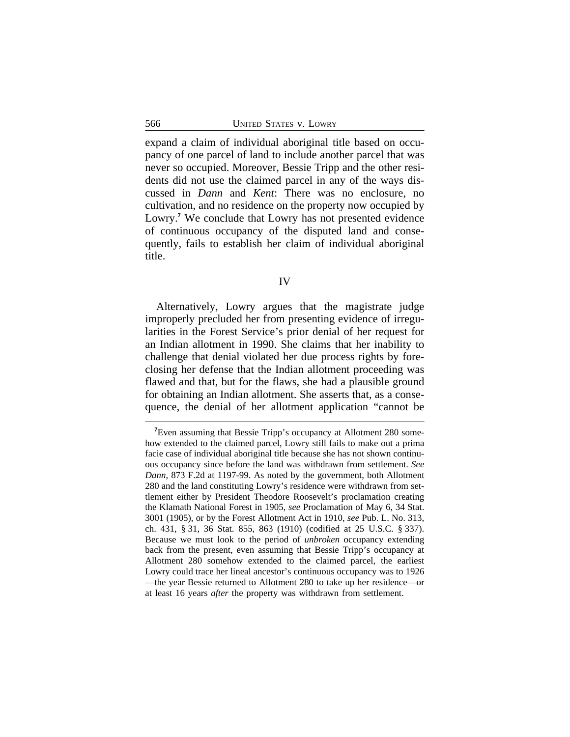expand a claim of individual aboriginal title based on occupancy of one parcel of land to include another parcel that was never so occupied. Moreover, Bessie Tripp and the other residents did not use the claimed parcel in any of the ways discussed in *Dann* and *Kent*: There was no enclosure, no cultivation, and no residence on the property now occupied by Lowry.**<sup>7</sup>** We conclude that Lowry has not presented evidence of continuous occupancy of the disputed land and consequently, fails to establish her claim of individual aboriginal title.

Alternatively, Lowry argues that the magistrate judge improperly precluded her from presenting evidence of irregularities in the Forest Service's prior denial of her request for an Indian allotment in 1990. She claims that her inability to challenge that denial violated her due process rights by foreclosing her defense that the Indian allotment proceeding was flawed and that, but for the flaws, she had a plausible ground for obtaining an Indian allotment. She asserts that, as a consequence, the denial of her allotment application "cannot be

**<sup>7</sup>**Even assuming that Bessie Tripp's occupancy at Allotment 280 somehow extended to the claimed parcel, Lowry still fails to make out a prima facie case of individual aboriginal title because she has not shown continuous occupancy since before the land was withdrawn from settlement. *See Dann*, 873 F.2d at 1197-99. As noted by the government, both Allotment 280 and the land constituting Lowry's residence were withdrawn from settlement either by President Theodore Roosevelt's proclamation creating the Klamath National Forest in 1905, *see* Proclamation of May 6, 34 Stat. 3001 (1905), or by the Forest Allotment Act in 1910, *see* Pub. L. No. 313, ch. 431, § 31, 36 Stat. 855, 863 (1910) (codified at 25 U.S.C. § 337). Because we must look to the period of *unbroken* occupancy extending back from the present, even assuming that Bessie Tripp's occupancy at Allotment 280 somehow extended to the claimed parcel, the earliest Lowry could trace her lineal ancestor's continuous occupancy was to 1926 —the year Bessie returned to Allotment 280 to take up her residence—or at least 16 years *after* the property was withdrawn from settlement.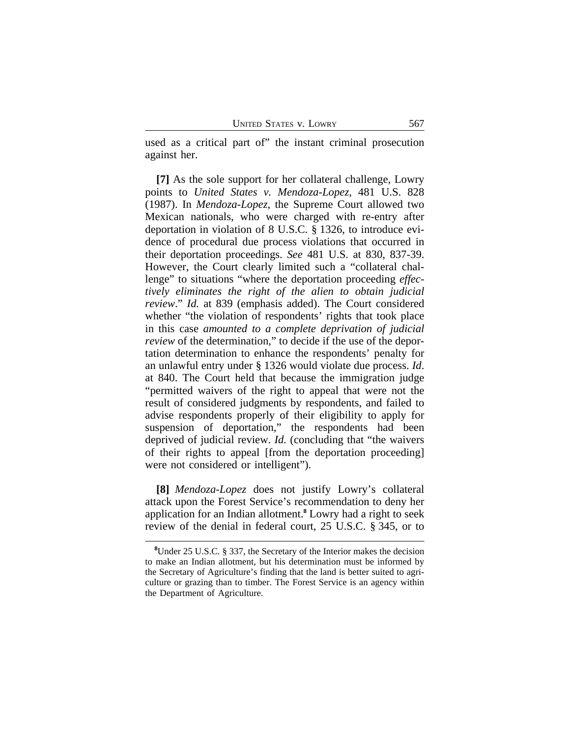used as a critical part of" the instant criminal prosecution against her.

**[7]** As the sole support for her collateral challenge, Lowry points to *United States v. Mendoza-Lopez*, 481 U.S. 828 (1987). In *Mendoza-Lopez*, the Supreme Court allowed two Mexican nationals, who were charged with re-entry after deportation in violation of 8 U.S.C. § 1326, to introduce evidence of procedural due process violations that occurred in their deportation proceedings. *See* 481 U.S. at 830, 837-39. However, the Court clearly limited such a "collateral challenge" to situations "where the deportation proceeding *effectively eliminates the right of the alien to obtain judicial review*." *Id.* at 839 (emphasis added). The Court considered whether "the violation of respondents' rights that took place in this case *amounted to a complete deprivation of judicial review* of the determination," to decide if the use of the deportation determination to enhance the respondents' penalty for an unlawful entry under § 1326 would violate due process. *Id*. at 840. The Court held that because the immigration judge "permitted waivers of the right to appeal that were not the result of considered judgments by respondents, and failed to advise respondents properly of their eligibility to apply for suspension of deportation," the respondents had been deprived of judicial review. *Id.* (concluding that "the waivers of their rights to appeal [from the deportation proceeding] were not considered or intelligent").

**[8]** *Mendoza-Lopez* does not justify Lowry's collateral attack upon the Forest Service's recommendation to deny her application for an Indian allotment.**<sup>8</sup>** Lowry had a right to seek review of the denial in federal court, 25 U.S.C. § 345, or to

**<sup>8</sup>**Under 25 U.S.C. § 337, the Secretary of the Interior makes the decision to make an Indian allotment, but his determination must be informed by the Secretary of Agriculture's finding that the land is better suited to agriculture or grazing than to timber. The Forest Service is an agency within the Department of Agriculture.